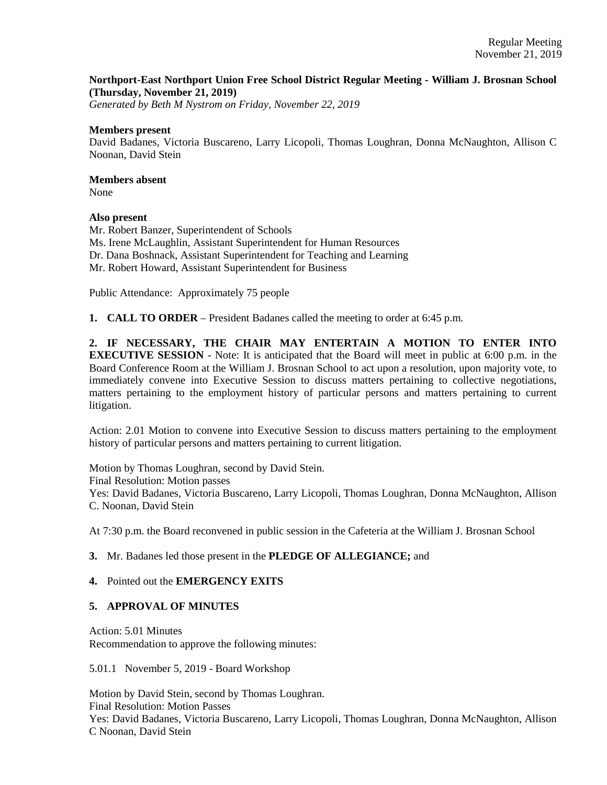## **Northport-East Northport Union Free School District Regular Meeting - William J. Brosnan School (Thursday, November 21, 2019)**

*Generated by Beth M Nystrom on Friday, November 22, 2019*

#### **Members present**

David Badanes, Victoria Buscareno, Larry Licopoli, Thomas Loughran, Donna McNaughton, Allison C Noonan, David Stein

# **Members absent**

None

## **Also present**

Mr. Robert Banzer, Superintendent of Schools Ms. Irene McLaughlin, Assistant Superintendent for Human Resources Dr. Dana Boshnack, Assistant Superintendent for Teaching and Learning Mr. Robert Howard, Assistant Superintendent for Business

Public Attendance: Approximately 75 people

**1. CALL TO ORDER** – President Badanes called the meeting to order at 6:45 p.m.

**2. IF NECESSARY, THE CHAIR MAY ENTERTAIN A MOTION TO ENTER INTO EXECUTIVE SESSION** - Note: It is anticipated that the Board will meet in public at 6:00 p.m. in the Board Conference Room at the William J. Brosnan School to act upon a resolution, upon majority vote, to immediately convene into Executive Session to discuss matters pertaining to collective negotiations, matters pertaining to the employment history of particular persons and matters pertaining to current litigation.

Action: 2.01 Motion to convene into Executive Session to discuss matters pertaining to the employment history of particular persons and matters pertaining to current litigation.

Motion by Thomas Loughran, second by David Stein. Final Resolution: Motion passes Yes: David Badanes, Victoria Buscareno, Larry Licopoli, Thomas Loughran, Donna McNaughton, Allison C. Noonan, David Stein

At 7:30 p.m. the Board reconvened in public session in the Cafeteria at the William J. Brosnan School

## **3.** Mr. Badanes led those present in the **PLEDGE OF ALLEGIANCE;** and

## **4.** Pointed out the **EMERGENCY EXITS**

## **5. APPROVAL OF MINUTES**

Action: 5.01 Minutes Recommendation to approve the following minutes:

5.01.1 November 5, 2019 - Board Workshop

Motion by David Stein, second by Thomas Loughran. Final Resolution: Motion Passes Yes: David Badanes, Victoria Buscareno, Larry Licopoli, Thomas Loughran, Donna McNaughton, Allison C Noonan, David Stein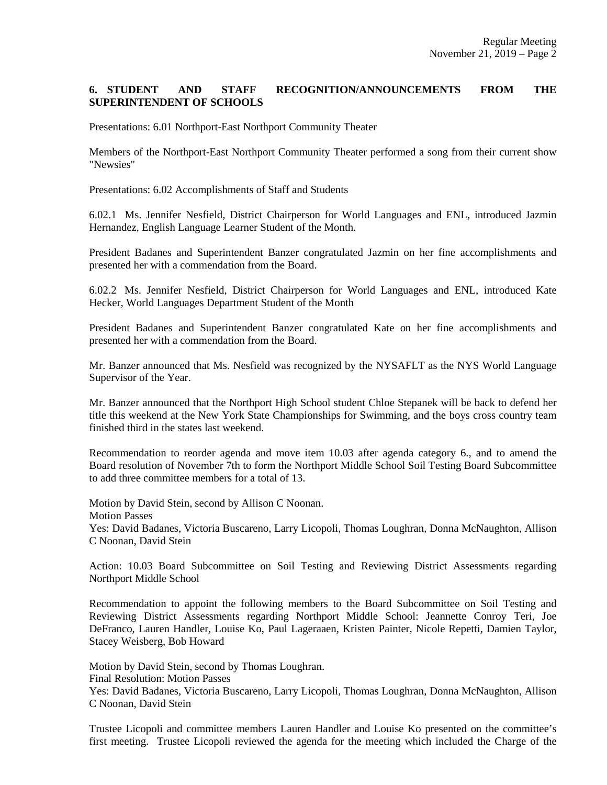## **6. STUDENT AND STAFF RECOGNITION/ANNOUNCEMENTS FROM THE SUPERINTENDENT OF SCHOOLS**

Presentations: 6.01 Northport-East Northport Community Theater

Members of the Northport-East Northport Community Theater performed a song from their current show "Newsies"

Presentations: 6.02 Accomplishments of Staff and Students

6.02.1 Ms. Jennifer Nesfield, District Chairperson for World Languages and ENL, introduced Jazmin Hernandez, English Language Learner Student of the Month.

President Badanes and Superintendent Banzer congratulated Jazmin on her fine accomplishments and presented her with a commendation from the Board.

6.02.2 Ms. Jennifer Nesfield, District Chairperson for World Languages and ENL, introduced Kate Hecker, World Languages Department Student of the Month

President Badanes and Superintendent Banzer congratulated Kate on her fine accomplishments and presented her with a commendation from the Board.

Mr. Banzer announced that Ms. Nesfield was recognized by the NYSAFLT as the NYS World Language Supervisor of the Year.

Mr. Banzer announced that the Northport High School student Chloe Stepanek will be back to defend her title this weekend at the New York State Championships for Swimming, and the boys cross country team finished third in the states last weekend.

Recommendation to reorder agenda and move item 10.03 after agenda category 6., and to amend the Board resolution of November 7th to form the Northport Middle School Soil Testing Board Subcommittee to add three committee members for a total of 13.

Motion by David Stein, second by Allison C Noonan. Motion Passes Yes: David Badanes, Victoria Buscareno, Larry Licopoli, Thomas Loughran, Donna McNaughton, Allison C Noonan, David Stein

Action: 10.03 Board Subcommittee on Soil Testing and Reviewing District Assessments regarding Northport Middle School

Recommendation to appoint the following members to the Board Subcommittee on Soil Testing and Reviewing District Assessments regarding Northport Middle School: Jeannette Conroy Teri, Joe DeFranco, Lauren Handler, Louise Ko, Paul Lageraaen, Kristen Painter, Nicole Repetti, Damien Taylor, Stacey Weisberg, Bob Howard

Motion by David Stein, second by Thomas Loughran. Final Resolution: Motion Passes Yes: David Badanes, Victoria Buscareno, Larry Licopoli, Thomas Loughran, Donna McNaughton, Allison C Noonan, David Stein

Trustee Licopoli and committee members Lauren Handler and Louise Ko presented on the committee's first meeting. Trustee Licopoli reviewed the agenda for the meeting which included the Charge of the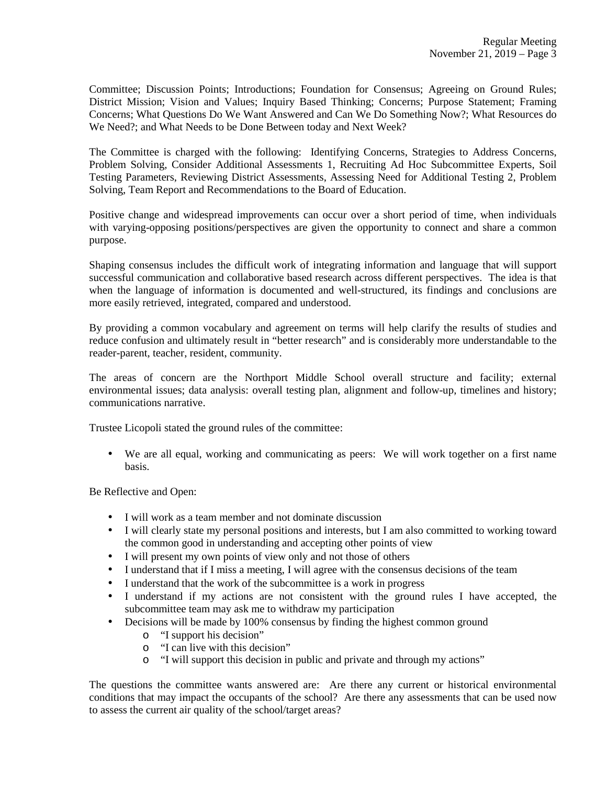Committee; Discussion Points; Introductions; Foundation for Consensus; Agreeing on Ground Rules; District Mission; Vision and Values; Inquiry Based Thinking; Concerns; Purpose Statement; Framing Concerns; What Questions Do We Want Answered and Can We Do Something Now?; What Resources do We Need?; and What Needs to be Done Between today and Next Week?

The Committee is charged with the following: Identifying Concerns, Strategies to Address Concerns, Problem Solving, Consider Additional Assessments 1, Recruiting Ad Hoc Subcommittee Experts, Soil Testing Parameters, Reviewing District Assessments, Assessing Need for Additional Testing 2, Problem Solving, Team Report and Recommendations to the Board of Education.

Positive change and widespread improvements can occur over a short period of time, when individuals with varying-opposing positions/perspectives are given the opportunity to connect and share a common purpose.

Shaping consensus includes the difficult work of integrating information and language that will support successful communication and collaborative based research across different perspectives. The idea is that when the language of information is documented and well-structured, its findings and conclusions are more easily retrieved, integrated, compared and understood.

By providing a common vocabulary and agreement on terms will help clarify the results of studies and reduce confusion and ultimately result in "better research" and is considerably more understandable to the reader-parent, teacher, resident, community.

The areas of concern are the Northport Middle School overall structure and facility; external environmental issues; data analysis: overall testing plan, alignment and follow-up, timelines and history; communications narrative.

Trustee Licopoli stated the ground rules of the committee:

• We are all equal, working and communicating as peers: We will work together on a first name basis.

Be Reflective and Open:

- I will work as a team member and not dominate discussion
- I will clearly state my personal positions and interests, but I am also committed to working toward the common good in understanding and accepting other points of view
- I will present my own points of view only and not those of others
- I understand that if I miss a meeting, I will agree with the consensus decisions of the team
- I understand that the work of the subcommittee is a work in progress
- I understand if my actions are not consistent with the ground rules I have accepted, the subcommittee team may ask me to withdraw my participation
- Decisions will be made by 100% consensus by finding the highest common ground
	- o "I support his decision"
	- o "I can live with this decision"
	- o "I will support this decision in public and private and through my actions"

The questions the committee wants answered are: Are there any current or historical environmental conditions that may impact the occupants of the school? Are there any assessments that can be used now to assess the current air quality of the school/target areas?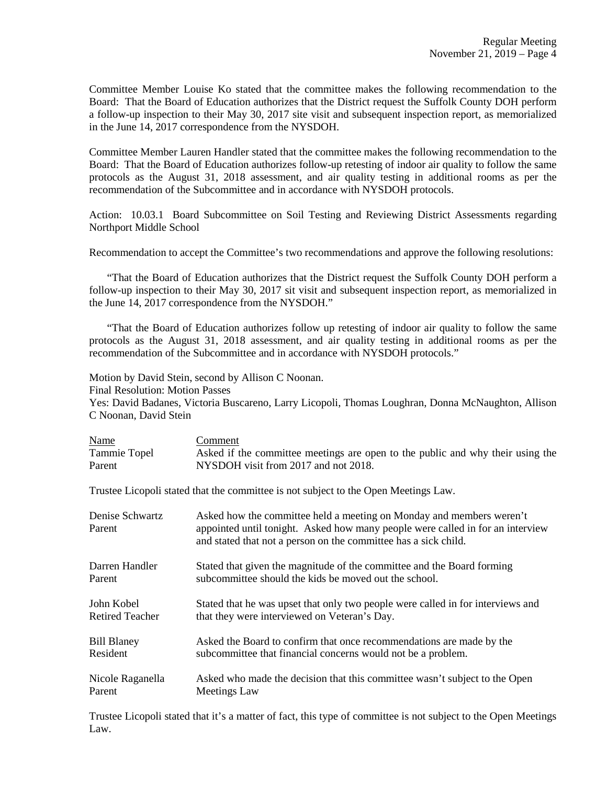Committee Member Louise Ko stated that the committee makes the following recommendation to the Board: That the Board of Education authorizes that the District request the Suffolk County DOH perform a follow-up inspection to their May 30, 2017 site visit and subsequent inspection report, as memorialized in the June 14, 2017 correspondence from the NYSDOH.

Committee Member Lauren Handler stated that the committee makes the following recommendation to the Board: That the Board of Education authorizes follow-up retesting of indoor air quality to follow the same protocols as the August 31, 2018 assessment, and air quality testing in additional rooms as per the recommendation of the Subcommittee and in accordance with NYSDOH protocols.

Action: 10.03.1 Board Subcommittee on Soil Testing and Reviewing District Assessments regarding Northport Middle School

Recommendation to accept the Committee's two recommendations and approve the following resolutions:

 "That the Board of Education authorizes that the District request the Suffolk County DOH perform a follow-up inspection to their May 30, 2017 sit visit and subsequent inspection report, as memorialized in the June 14, 2017 correspondence from the NYSDOH."

 "That the Board of Education authorizes follow up retesting of indoor air quality to follow the same protocols as the August 31, 2018 assessment, and air quality testing in additional rooms as per the recommendation of the Subcommittee and in accordance with NYSDOH protocols."

Motion by David Stein, second by Allison C Noonan.

Final Resolution: Motion Passes

Yes: David Badanes, Victoria Buscareno, Larry Licopoli, Thomas Loughran, Donna McNaughton, Allison C Noonan, David Stein

| <b>Name</b>  | Comment                                                                        |
|--------------|--------------------------------------------------------------------------------|
| Tammie Topel | Asked if the committee meetings are open to the public and why their using the |
| Parent       | NYSDOH visit from 2017 and not 2018.                                           |

Trustee Licopoli stated that the committee is not subject to the Open Meetings Law.

| Denise Schwartz<br>Parent | Asked how the committee held a meeting on Monday and members weren't<br>appointed until tonight. Asked how many people were called in for an interview<br>and stated that not a person on the committee has a sick child. |
|---------------------------|---------------------------------------------------------------------------------------------------------------------------------------------------------------------------------------------------------------------------|
| Darren Handler            | Stated that given the magnitude of the committee and the Board forming                                                                                                                                                    |
| Parent                    | subcommittee should the kids be moved out the school.                                                                                                                                                                     |
| John Kobel                | Stated that he was upset that only two people were called in for interviews and                                                                                                                                           |
| <b>Retired Teacher</b>    | that they were interviewed on Veteran's Day.                                                                                                                                                                              |
| <b>Bill Blaney</b>        | Asked the Board to confirm that once recommendations are made by the                                                                                                                                                      |
| Resident                  | subcommittee that financial concerns would not be a problem.                                                                                                                                                              |
| Nicole Raganella          | Asked who made the decision that this committee wasn't subject to the Open                                                                                                                                                |
| Parent                    | Meetings Law                                                                                                                                                                                                              |

Trustee Licopoli stated that it's a matter of fact, this type of committee is not subject to the Open Meetings Law.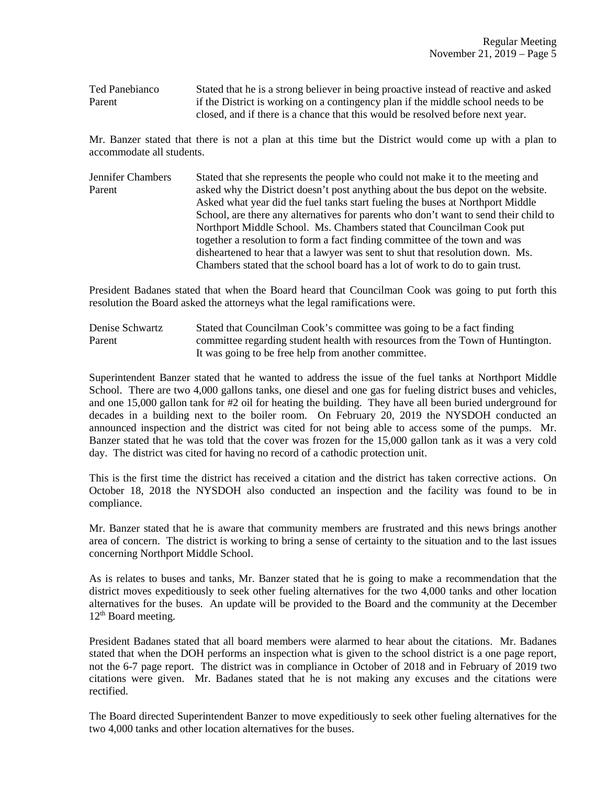Ted Panebianco Stated that he is a strong believer in being proactive instead of reactive and asked Parent if the District is working on a contingency plan if the middle school needs to be closed, and if there is a chance that this would be resolved before next year.

Mr. Banzer stated that there is not a plan at this time but the District would come up with a plan to accommodate all students.

Jennifer Chambers Stated that she represents the people who could not make it to the meeting and Parent asked why the District doesn't post anything about the bus depot on the website. Asked what year did the fuel tanks start fueling the buses at Northport Middle School, are there any alternatives for parents who don't want to send their child to Northport Middle School. Ms. Chambers stated that Councilman Cook put together a resolution to form a fact finding committee of the town and was disheartened to hear that a lawyer was sent to shut that resolution down. Ms. Chambers stated that the school board has a lot of work to do to gain trust.

President Badanes stated that when the Board heard that Councilman Cook was going to put forth this resolution the Board asked the attorneys what the legal ramifications were.

Denise Schwartz Stated that Councilman Cook's committee was going to be a fact finding Parent committee regarding student health with resources from the Town of Huntington. It was going to be free help from another committee.

Superintendent Banzer stated that he wanted to address the issue of the fuel tanks at Northport Middle School. There are two 4,000 gallons tanks, one diesel and one gas for fueling district buses and vehicles, and one 15,000 gallon tank for #2 oil for heating the building. They have all been buried underground for decades in a building next to the boiler room. On February 20, 2019 the NYSDOH conducted an announced inspection and the district was cited for not being able to access some of the pumps. Mr. Banzer stated that he was told that the cover was frozen for the 15,000 gallon tank as it was a very cold day. The district was cited for having no record of a cathodic protection unit.

This is the first time the district has received a citation and the district has taken corrective actions. On October 18, 2018 the NYSDOH also conducted an inspection and the facility was found to be in compliance.

Mr. Banzer stated that he is aware that community members are frustrated and this news brings another area of concern. The district is working to bring a sense of certainty to the situation and to the last issues concerning Northport Middle School.

As is relates to buses and tanks, Mr. Banzer stated that he is going to make a recommendation that the district moves expeditiously to seek other fueling alternatives for the two 4,000 tanks and other location alternatives for the buses. An update will be provided to the Board and the community at the December 12<sup>th</sup> Board meeting.

President Badanes stated that all board members were alarmed to hear about the citations. Mr. Badanes stated that when the DOH performs an inspection what is given to the school district is a one page report, not the 6-7 page report. The district was in compliance in October of 2018 and in February of 2019 two citations were given. Mr. Badanes stated that he is not making any excuses and the citations were rectified.

The Board directed Superintendent Banzer to move expeditiously to seek other fueling alternatives for the two 4,000 tanks and other location alternatives for the buses.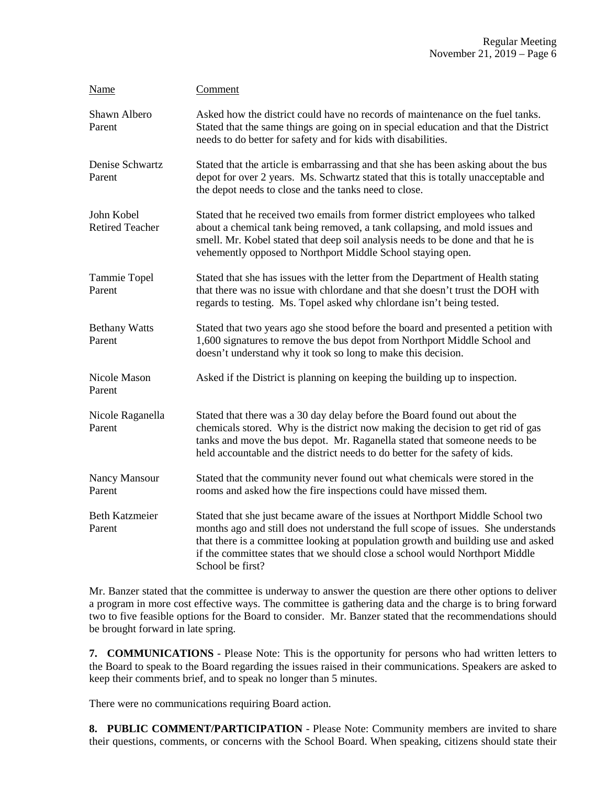| Name                                 | Comment                                                                                                                                                                                                                                                                                                                                                       |
|--------------------------------------|---------------------------------------------------------------------------------------------------------------------------------------------------------------------------------------------------------------------------------------------------------------------------------------------------------------------------------------------------------------|
| Shawn Albero<br>Parent               | Asked how the district could have no records of maintenance on the fuel tanks.<br>Stated that the same things are going on in special education and that the District<br>needs to do better for safety and for kids with disabilities.                                                                                                                        |
| Denise Schwartz<br>Parent            | Stated that the article is embarrassing and that she has been asking about the bus<br>depot for over 2 years. Ms. Schwartz stated that this is totally unacceptable and<br>the depot needs to close and the tanks need to close.                                                                                                                              |
| John Kobel<br><b>Retired Teacher</b> | Stated that he received two emails from former district employees who talked<br>about a chemical tank being removed, a tank collapsing, and mold issues and<br>smell. Mr. Kobel stated that deep soil analysis needs to be done and that he is<br>vehemently opposed to Northport Middle School staying open.                                                 |
| Tammie Topel<br>Parent               | Stated that she has issues with the letter from the Department of Health stating<br>that there was no issue with chlordane and that she doesn't trust the DOH with<br>regards to testing. Ms. Topel asked why chlordane isn't being tested.                                                                                                                   |
| <b>Bethany Watts</b><br>Parent       | Stated that two years ago she stood before the board and presented a petition with<br>1,600 signatures to remove the bus depot from Northport Middle School and<br>doesn't understand why it took so long to make this decision.                                                                                                                              |
| Nicole Mason<br>Parent               | Asked if the District is planning on keeping the building up to inspection.                                                                                                                                                                                                                                                                                   |
| Nicole Raganella<br>Parent           | Stated that there was a 30 day delay before the Board found out about the<br>chemicals stored. Why is the district now making the decision to get rid of gas<br>tanks and move the bus depot. Mr. Raganella stated that someone needs to be<br>held accountable and the district needs to do better for the safety of kids.                                   |
| Nancy Mansour<br>Parent              | Stated that the community never found out what chemicals were stored in the<br>rooms and asked how the fire inspections could have missed them.                                                                                                                                                                                                               |
| <b>Beth Katzmeier</b><br>Parent      | Stated that she just became aware of the issues at Northport Middle School two<br>months ago and still does not understand the full scope of issues. She understands<br>that there is a committee looking at population growth and building use and asked<br>if the committee states that we should close a school would Northport Middle<br>School be first? |

Mr. Banzer stated that the committee is underway to answer the question are there other options to deliver a program in more cost effective ways. The committee is gathering data and the charge is to bring forward two to five feasible options for the Board to consider. Mr. Banzer stated that the recommendations should be brought forward in late spring.

**7. COMMUNICATIONS** - Please Note: This is the opportunity for persons who had written letters to the Board to speak to the Board regarding the issues raised in their communications. Speakers are asked to keep their comments brief, and to speak no longer than 5 minutes.

There were no communications requiring Board action.

**8. PUBLIC COMMENT/PARTICIPATION** - Please Note: Community members are invited to share their questions, comments, or concerns with the School Board. When speaking, citizens should state their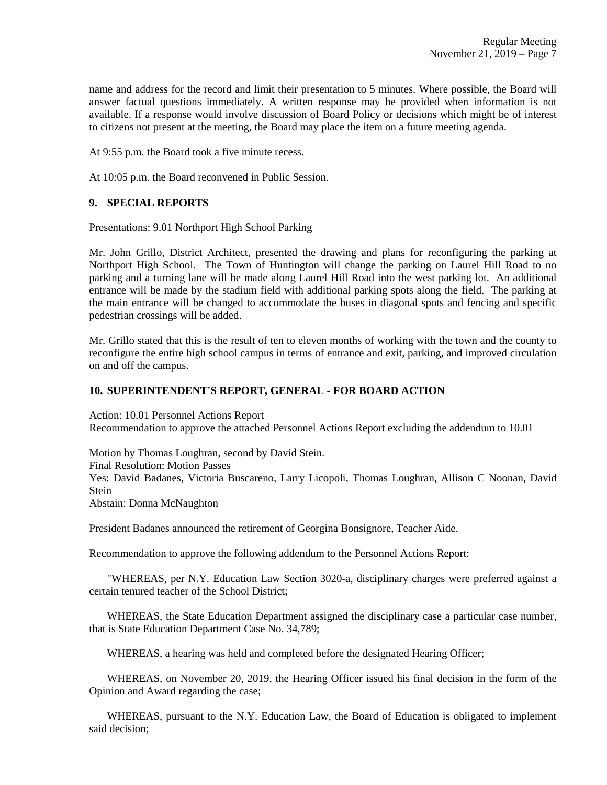name and address for the record and limit their presentation to 5 minutes. Where possible, the Board will answer factual questions immediately. A written response may be provided when information is not available. If a response would involve discussion of Board Policy or decisions which might be of interest to citizens not present at the meeting, the Board may place the item on a future meeting agenda.

At 9:55 p.m. the Board took a five minute recess.

At 10:05 p.m. the Board reconvened in Public Session.

### **9. SPECIAL REPORTS**

Presentations: 9.01 Northport High School Parking

Mr. John Grillo, District Architect, presented the drawing and plans for reconfiguring the parking at Northport High School. The Town of Huntington will change the parking on Laurel Hill Road to no parking and a turning lane will be made along Laurel Hill Road into the west parking lot. An additional entrance will be made by the stadium field with additional parking spots along the field. The parking at the main entrance will be changed to accommodate the buses in diagonal spots and fencing and specific pedestrian crossings will be added.

Mr. Grillo stated that this is the result of ten to eleven months of working with the town and the county to reconfigure the entire high school campus in terms of entrance and exit, parking, and improved circulation on and off the campus.

#### **10. SUPERINTENDENT'S REPORT, GENERAL - FOR BOARD ACTION**

Action: 10.01 Personnel Actions Report Recommendation to approve the attached Personnel Actions Report excluding the addendum to 10.01

Motion by Thomas Loughran, second by David Stein. Final Resolution: Motion Passes

Yes: David Badanes, Victoria Buscareno, Larry Licopoli, Thomas Loughran, Allison C Noonan, David Stein

Abstain: Donna McNaughton

President Badanes announced the retirement of Georgina Bonsignore, Teacher Aide.

Recommendation to approve the following addendum to the Personnel Actions Report:

 "WHEREAS, per N.Y. Education Law Section 3020-a, disciplinary charges were preferred against a certain tenured teacher of the School District;

 WHEREAS, the State Education Department assigned the disciplinary case a particular case number, that is State Education Department Case No. 34,789;

WHEREAS, a hearing was held and completed before the designated Hearing Officer;

 WHEREAS, on November 20, 2019, the Hearing Officer issued his final decision in the form of the Opinion and Award regarding the case;

 WHEREAS, pursuant to the N.Y. Education Law, the Board of Education is obligated to implement said decision;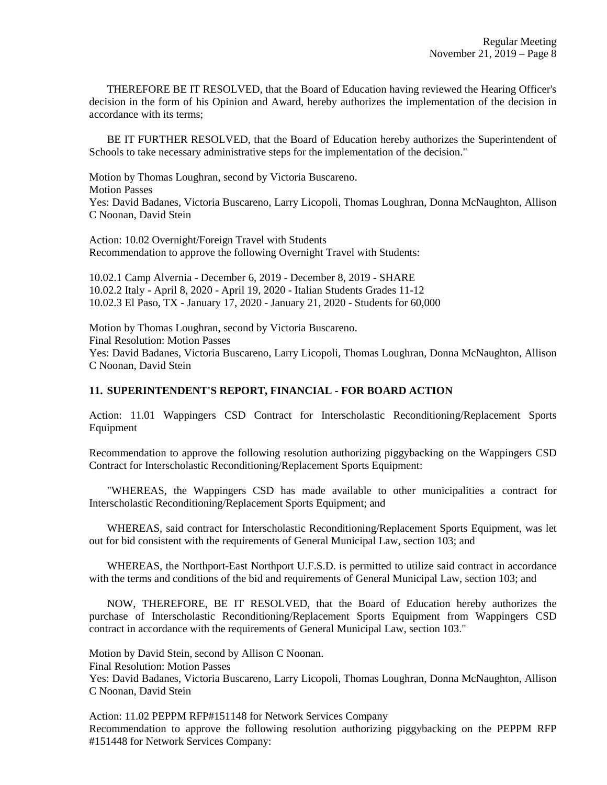THEREFORE BE IT RESOLVED, that the Board of Education having reviewed the Hearing Officer's decision in the form of his Opinion and Award, hereby authorizes the implementation of the decision in accordance with its terms;

 BE IT FURTHER RESOLVED, that the Board of Education hereby authorizes the Superintendent of Schools to take necessary administrative steps for the implementation of the decision."

Motion by Thomas Loughran, second by Victoria Buscareno. Motion Passes Yes: David Badanes, Victoria Buscareno, Larry Licopoli, Thomas Loughran, Donna McNaughton, Allison C Noonan, David Stein

Action: 10.02 Overnight/Foreign Travel with Students Recommendation to approve the following Overnight Travel with Students:

10.02.1 Camp Alvernia - December 6, 2019 - December 8, 2019 - SHARE 10.02.2 Italy - April 8, 2020 - April 19, 2020 - Italian Students Grades 11-12 10.02.3 El Paso, TX - January 17, 2020 - January 21, 2020 - Students for 60,000

Motion by Thomas Loughran, second by Victoria Buscareno. Final Resolution: Motion Passes Yes: David Badanes, Victoria Buscareno, Larry Licopoli, Thomas Loughran, Donna McNaughton, Allison C Noonan, David Stein

### **11. SUPERINTENDENT'S REPORT, FINANCIAL - FOR BOARD ACTION**

Action: 11.01 Wappingers CSD Contract for Interscholastic Reconditioning/Replacement Sports Equipment

Recommendation to approve the following resolution authorizing piggybacking on the Wappingers CSD Contract for Interscholastic Reconditioning/Replacement Sports Equipment:

 "WHEREAS, the Wappingers CSD has made available to other municipalities a contract for Interscholastic Reconditioning/Replacement Sports Equipment; and

 WHEREAS, said contract for Interscholastic Reconditioning/Replacement Sports Equipment, was let out for bid consistent with the requirements of General Municipal Law, section 103; and

 WHEREAS, the Northport-East Northport U.F.S.D. is permitted to utilize said contract in accordance with the terms and conditions of the bid and requirements of General Municipal Law, section 103; and

 NOW, THEREFORE, BE IT RESOLVED, that the Board of Education hereby authorizes the purchase of Interscholastic Reconditioning/Replacement Sports Equipment from Wappingers CSD contract in accordance with the requirements of General Municipal Law, section 103."

Motion by David Stein, second by Allison C Noonan.

Final Resolution: Motion Passes

Yes: David Badanes, Victoria Buscareno, Larry Licopoli, Thomas Loughran, Donna McNaughton, Allison C Noonan, David Stein

Action: 11.02 PEPPM RFP#151148 for Network Services Company Recommendation to approve the following resolution authorizing piggybacking on the PEPPM RFP #151448 for Network Services Company: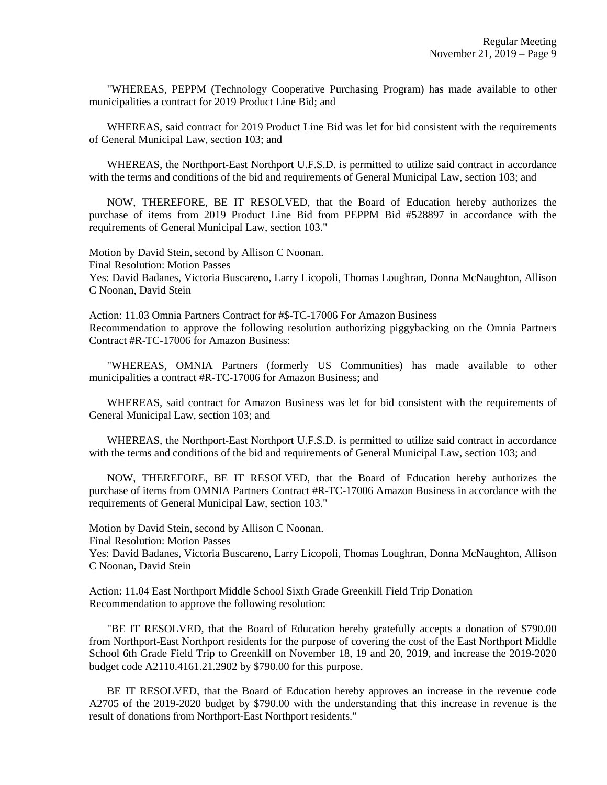"WHEREAS, PEPPM (Technology Cooperative Purchasing Program) has made available to other municipalities a contract for 2019 Product Line Bid; and

 WHEREAS, said contract for 2019 Product Line Bid was let for bid consistent with the requirements of General Municipal Law, section 103; and

 WHEREAS, the Northport-East Northport U.F.S.D. is permitted to utilize said contract in accordance with the terms and conditions of the bid and requirements of General Municipal Law, section 103; and

 NOW, THEREFORE, BE IT RESOLVED, that the Board of Education hereby authorizes the purchase of items from 2019 Product Line Bid from PEPPM Bid #528897 in accordance with the requirements of General Municipal Law, section 103."

Motion by David Stein, second by Allison C Noonan. Final Resolution: Motion Passes Yes: David Badanes, Victoria Buscareno, Larry Licopoli, Thomas Loughran, Donna McNaughton, Allison C Noonan, David Stein

Action: 11.03 Omnia Partners Contract for #\$-TC-17006 For Amazon Business Recommendation to approve the following resolution authorizing piggybacking on the Omnia Partners Contract #R-TC-17006 for Amazon Business:

 "WHEREAS, OMNIA Partners (formerly US Communities) has made available to other municipalities a contract #R-TC-17006 for Amazon Business; and

 WHEREAS, said contract for Amazon Business was let for bid consistent with the requirements of General Municipal Law, section 103; and

 WHEREAS, the Northport-East Northport U.F.S.D. is permitted to utilize said contract in accordance with the terms and conditions of the bid and requirements of General Municipal Law, section 103; and

 NOW, THEREFORE, BE IT RESOLVED, that the Board of Education hereby authorizes the purchase of items from OMNIA Partners Contract #R-TC-17006 Amazon Business in accordance with the requirements of General Municipal Law, section 103."

Motion by David Stein, second by Allison C Noonan.

Final Resolution: Motion Passes

Yes: David Badanes, Victoria Buscareno, Larry Licopoli, Thomas Loughran, Donna McNaughton, Allison C Noonan, David Stein

Action: 11.04 East Northport Middle School Sixth Grade Greenkill Field Trip Donation Recommendation to approve the following resolution:

 "BE IT RESOLVED, that the Board of Education hereby gratefully accepts a donation of \$790.00 from Northport-East Northport residents for the purpose of covering the cost of the East Northport Middle School 6th Grade Field Trip to Greenkill on November 18, 19 and 20, 2019, and increase the 2019-2020 budget code A2110.4161.21.2902 by \$790.00 for this purpose.

 BE IT RESOLVED, that the Board of Education hereby approves an increase in the revenue code A2705 of the 2019-2020 budget by \$790.00 with the understanding that this increase in revenue is the result of donations from Northport-East Northport residents."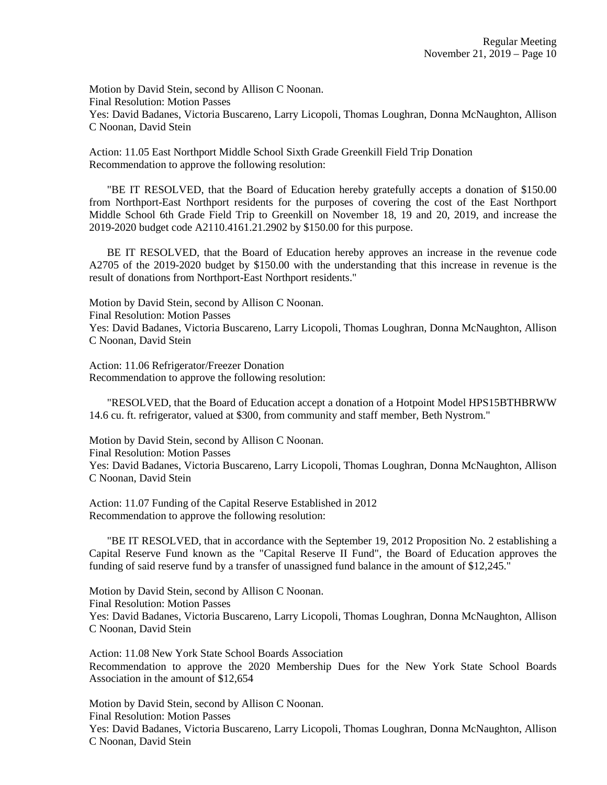Motion by David Stein, second by Allison C Noonan. Final Resolution: Motion Passes Yes: David Badanes, Victoria Buscareno, Larry Licopoli, Thomas Loughran, Donna McNaughton, Allison C Noonan, David Stein

Action: 11.05 East Northport Middle School Sixth Grade Greenkill Field Trip Donation Recommendation to approve the following resolution:

 "BE IT RESOLVED, that the Board of Education hereby gratefully accepts a donation of \$150.00 from Northport-East Northport residents for the purposes of covering the cost of the East Northport Middle School 6th Grade Field Trip to Greenkill on November 18, 19 and 20, 2019, and increase the 2019-2020 budget code A2110.4161.21.2902 by \$150.00 for this purpose.

 BE IT RESOLVED, that the Board of Education hereby approves an increase in the revenue code A2705 of the 2019-2020 budget by \$150.00 with the understanding that this increase in revenue is the result of donations from Northport-East Northport residents."

Motion by David Stein, second by Allison C Noonan. Final Resolution: Motion Passes Yes: David Badanes, Victoria Buscareno, Larry Licopoli, Thomas Loughran, Donna McNaughton, Allison C Noonan, David Stein

Action: 11.06 Refrigerator/Freezer Donation Recommendation to approve the following resolution:

 "RESOLVED, that the Board of Education accept a donation of a Hotpoint Model HPS15BTHBRWW 14.6 cu. ft. refrigerator, valued at \$300, from community and staff member, Beth Nystrom."

Motion by David Stein, second by Allison C Noonan. Final Resolution: Motion Passes Yes: David Badanes, Victoria Buscareno, Larry Licopoli, Thomas Loughran, Donna McNaughton, Allison C Noonan, David Stein

Action: 11.07 Funding of the Capital Reserve Established in 2012 Recommendation to approve the following resolution:

 "BE IT RESOLVED, that in accordance with the September 19, 2012 Proposition No. 2 establishing a Capital Reserve Fund known as the "Capital Reserve II Fund", the Board of Education approves the funding of said reserve fund by a transfer of unassigned fund balance in the amount of \$12,245."

Motion by David Stein, second by Allison C Noonan. Final Resolution: Motion Passes Yes: David Badanes, Victoria Buscareno, Larry Licopoli, Thomas Loughran, Donna McNaughton, Allison C Noonan, David Stein

Action: 11.08 New York State School Boards Association Recommendation to approve the 2020 Membership Dues for the New York State School Boards Association in the amount of \$12,654

Motion by David Stein, second by Allison C Noonan. Final Resolution: Motion Passes Yes: David Badanes, Victoria Buscareno, Larry Licopoli, Thomas Loughran, Donna McNaughton, Allison C Noonan, David Stein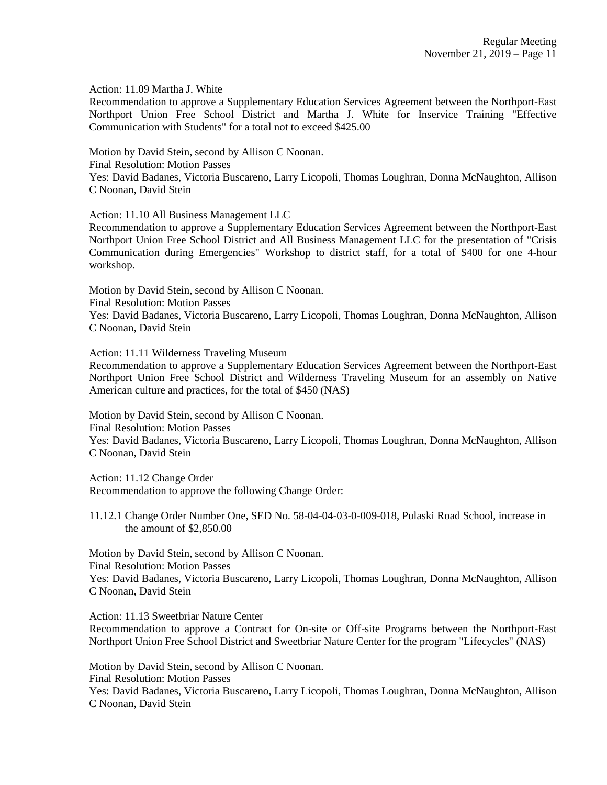Action: 11.09 Martha J. White

Recommendation to approve a Supplementary Education Services Agreement between the Northport-East Northport Union Free School District and Martha J. White for Inservice Training "Effective Communication with Students" for a total not to exceed \$425.00

Motion by David Stein, second by Allison C Noonan.

Final Resolution: Motion Passes

Yes: David Badanes, Victoria Buscareno, Larry Licopoli, Thomas Loughran, Donna McNaughton, Allison C Noonan, David Stein

Action: 11.10 All Business Management LLC

Recommendation to approve a Supplementary Education Services Agreement between the Northport-East Northport Union Free School District and All Business Management LLC for the presentation of "Crisis Communication during Emergencies" Workshop to district staff, for a total of \$400 for one 4-hour workshop.

Motion by David Stein, second by Allison C Noonan.

Final Resolution: Motion Passes

Yes: David Badanes, Victoria Buscareno, Larry Licopoli, Thomas Loughran, Donna McNaughton, Allison C Noonan, David Stein

Action: 11.11 Wilderness Traveling Museum

Recommendation to approve a Supplementary Education Services Agreement between the Northport-East Northport Union Free School District and Wilderness Traveling Museum for an assembly on Native American culture and practices, for the total of \$450 (NAS)

Motion by David Stein, second by Allison C Noonan. Final Resolution: Motion Passes Yes: David Badanes, Victoria Buscareno, Larry Licopoli, Thomas Loughran, Donna McNaughton, Allison C Noonan, David Stein

Action: 11.12 Change Order Recommendation to approve the following Change Order:

11.12.1 Change Order Number One, SED No. 58-04-04-03-0-009-018, Pulaski Road School, increase in the amount of \$2,850.00

Motion by David Stein, second by Allison C Noonan. Final Resolution: Motion Passes Yes: David Badanes, Victoria Buscareno, Larry Licopoli, Thomas Loughran, Donna McNaughton, Allison C Noonan, David Stein

Action: 11.13 Sweetbriar Nature Center Recommendation to approve a Contract for On-site or Off-site Programs between the Northport-East Northport Union Free School District and Sweetbriar Nature Center for the program "Lifecycles" (NAS)

Motion by David Stein, second by Allison C Noonan. Final Resolution: Motion Passes Yes: David Badanes, Victoria Buscareno, Larry Licopoli, Thomas Loughran, Donna McNaughton, Allison C Noonan, David Stein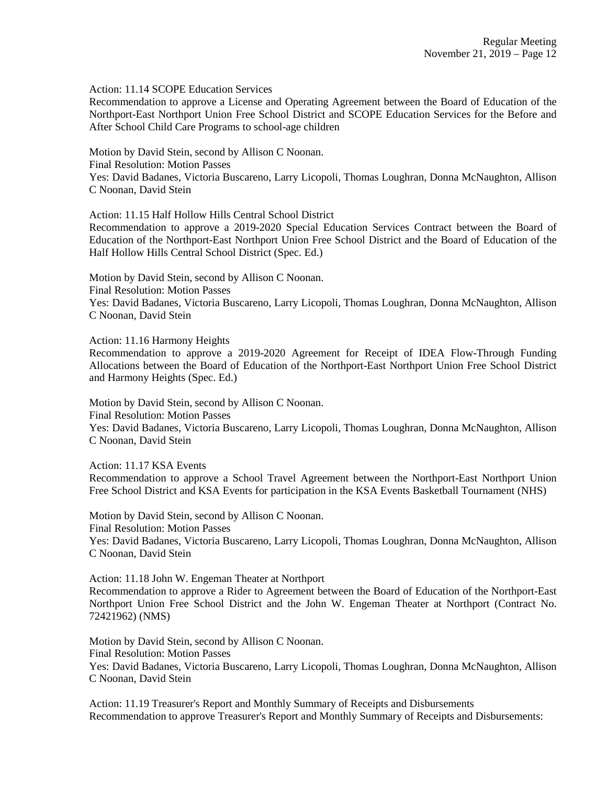Action: 11.14 SCOPE Education Services

Recommendation to approve a License and Operating Agreement between the Board of Education of the Northport-East Northport Union Free School District and SCOPE Education Services for the Before and After School Child Care Programs to school-age children

Motion by David Stein, second by Allison C Noonan.

Final Resolution: Motion Passes

Yes: David Badanes, Victoria Buscareno, Larry Licopoli, Thomas Loughran, Donna McNaughton, Allison C Noonan, David Stein

Action: 11.15 Half Hollow Hills Central School District

Recommendation to approve a 2019-2020 Special Education Services Contract between the Board of Education of the Northport-East Northport Union Free School District and the Board of Education of the Half Hollow Hills Central School District (Spec. Ed.)

Motion by David Stein, second by Allison C Noonan. Final Resolution: Motion Passes Yes: David Badanes, Victoria Buscareno, Larry Licopoli, Thomas Loughran, Donna McNaughton, Allison C Noonan, David Stein

Action: 11.16 Harmony Heights

Recommendation to approve a 2019-2020 Agreement for Receipt of IDEA Flow-Through Funding Allocations between the Board of Education of the Northport-East Northport Union Free School District and Harmony Heights (Spec. Ed.)

Motion by David Stein, second by Allison C Noonan.

Final Resolution: Motion Passes

Yes: David Badanes, Victoria Buscareno, Larry Licopoli, Thomas Loughran, Donna McNaughton, Allison C Noonan, David Stein

Action: 11.17 KSA Events

Recommendation to approve a School Travel Agreement between the Northport-East Northport Union Free School District and KSA Events for participation in the KSA Events Basketball Tournament (NHS)

Motion by David Stein, second by Allison C Noonan. Final Resolution: Motion Passes Yes: David Badanes, Victoria Buscareno, Larry Licopoli, Thomas Loughran, Donna McNaughton, Allison C Noonan, David Stein

Action: 11.18 John W. Engeman Theater at Northport

Recommendation to approve a Rider to Agreement between the Board of Education of the Northport-East Northport Union Free School District and the John W. Engeman Theater at Northport (Contract No. 72421962) (NMS)

Motion by David Stein, second by Allison C Noonan. Final Resolution: Motion Passes Yes: David Badanes, Victoria Buscareno, Larry Licopoli, Thomas Loughran, Donna McNaughton, Allison C Noonan, David Stein

Action: 11.19 Treasurer's Report and Monthly Summary of Receipts and Disbursements Recommendation to approve Treasurer's Report and Monthly Summary of Receipts and Disbursements: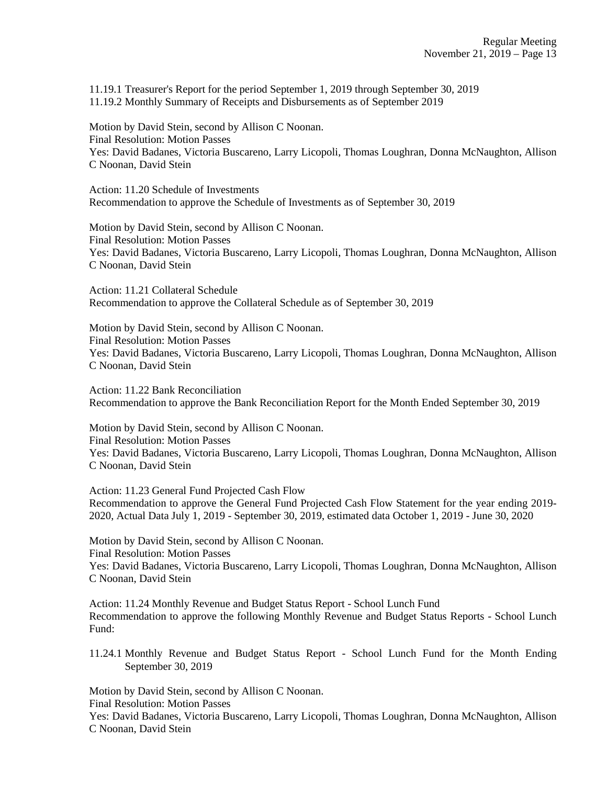11.19.1 Treasurer's Report for the period September 1, 2019 through September 30, 2019 11.19.2 Monthly Summary of Receipts and Disbursements as of September 2019

Motion by David Stein, second by Allison C Noonan. Final Resolution: Motion Passes Yes: David Badanes, Victoria Buscareno, Larry Licopoli, Thomas Loughran, Donna McNaughton, Allison C Noonan, David Stein

Action: 11.20 Schedule of Investments Recommendation to approve the Schedule of Investments as of September 30, 2019

Motion by David Stein, second by Allison C Noonan. Final Resolution: Motion Passes Yes: David Badanes, Victoria Buscareno, Larry Licopoli, Thomas Loughran, Donna McNaughton, Allison C Noonan, David Stein

Action: 11.21 Collateral Schedule Recommendation to approve the Collateral Schedule as of September 30, 2019

Motion by David Stein, second by Allison C Noonan. Final Resolution: Motion Passes Yes: David Badanes, Victoria Buscareno, Larry Licopoli, Thomas Loughran, Donna McNaughton, Allison C Noonan, David Stein

Action: 11.22 Bank Reconciliation Recommendation to approve the Bank Reconciliation Report for the Month Ended September 30, 2019

Motion by David Stein, second by Allison C Noonan. Final Resolution: Motion Passes Yes: David Badanes, Victoria Buscareno, Larry Licopoli, Thomas Loughran, Donna McNaughton, Allison C Noonan, David Stein

Action: 11.23 General Fund Projected Cash Flow Recommendation to approve the General Fund Projected Cash Flow Statement for the year ending 2019- 2020, Actual Data July 1, 2019 - September 30, 2019, estimated data October 1, 2019 - June 30, 2020

Motion by David Stein, second by Allison C Noonan. Final Resolution: Motion Passes Yes: David Badanes, Victoria Buscareno, Larry Licopoli, Thomas Loughran, Donna McNaughton, Allison C Noonan, David Stein

Action: 11.24 Monthly Revenue and Budget Status Report - School Lunch Fund Recommendation to approve the following Monthly Revenue and Budget Status Reports - School Lunch Fund:

11.24.1 Monthly Revenue and Budget Status Report - School Lunch Fund for the Month Ending September 30, 2019

Motion by David Stein, second by Allison C Noonan.

Final Resolution: Motion Passes

Yes: David Badanes, Victoria Buscareno, Larry Licopoli, Thomas Loughran, Donna McNaughton, Allison C Noonan, David Stein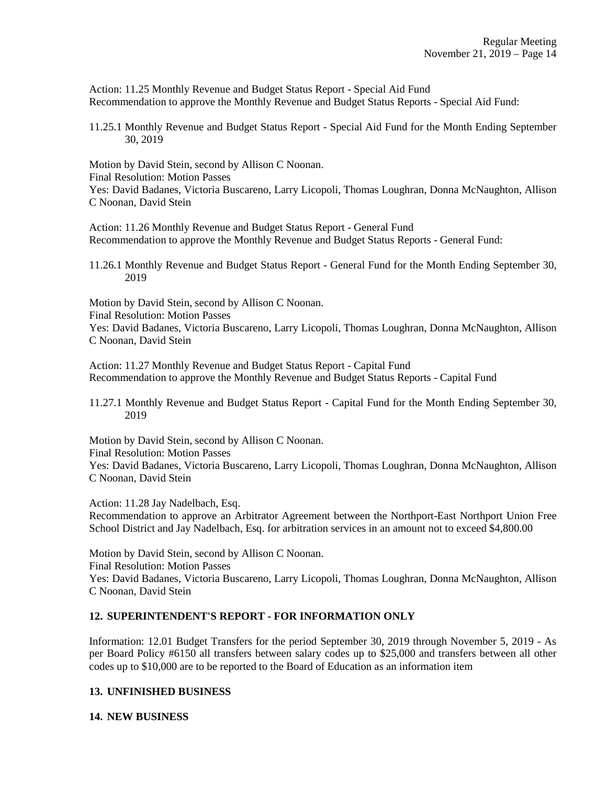Action: 11.25 Monthly Revenue and Budget Status Report - Special Aid Fund Recommendation to approve the Monthly Revenue and Budget Status Reports - Special Aid Fund:

11.25.1 Monthly Revenue and Budget Status Report - Special Aid Fund for the Month Ending September 30, 2019

Motion by David Stein, second by Allison C Noonan.

Final Resolution: Motion Passes

Yes: David Badanes, Victoria Buscareno, Larry Licopoli, Thomas Loughran, Donna McNaughton, Allison C Noonan, David Stein

Action: 11.26 Monthly Revenue and Budget Status Report - General Fund Recommendation to approve the Monthly Revenue and Budget Status Reports - General Fund:

11.26.1 Monthly Revenue and Budget Status Report - General Fund for the Month Ending September 30, 2019

Motion by David Stein, second by Allison C Noonan. Final Resolution: Motion Passes Yes: David Badanes, Victoria Buscareno, Larry Licopoli, Thomas Loughran, Donna McNaughton, Allison C Noonan, David Stein

Action: 11.27 Monthly Revenue and Budget Status Report - Capital Fund Recommendation to approve the Monthly Revenue and Budget Status Reports - Capital Fund

11.27.1 Monthly Revenue and Budget Status Report - Capital Fund for the Month Ending September 30, 2019

Motion by David Stein, second by Allison C Noonan. Final Resolution: Motion Passes Yes: David Badanes, Victoria Buscareno, Larry Licopoli, Thomas Loughran, Donna McNaughton, Allison C Noonan, David Stein

Action: 11.28 Jay Nadelbach, Esq.

Recommendation to approve an Arbitrator Agreement between the Northport-East Northport Union Free School District and Jay Nadelbach, Esq. for arbitration services in an amount not to exceed \$4,800.00

Motion by David Stein, second by Allison C Noonan. Final Resolution: Motion Passes Yes: David Badanes, Victoria Buscareno, Larry Licopoli, Thomas Loughran, Donna McNaughton, Allison C Noonan, David Stein

## **12. SUPERINTENDENT'S REPORT - FOR INFORMATION ONLY**

Information: 12.01 Budget Transfers for the period September 30, 2019 through November 5, 2019 - As per Board Policy #6150 all transfers between salary codes up to \$25,000 and transfers between all other codes up to \$10,000 are to be reported to the Board of Education as an information item

## **13. UNFINISHED BUSINESS**

**14. NEW BUSINESS**